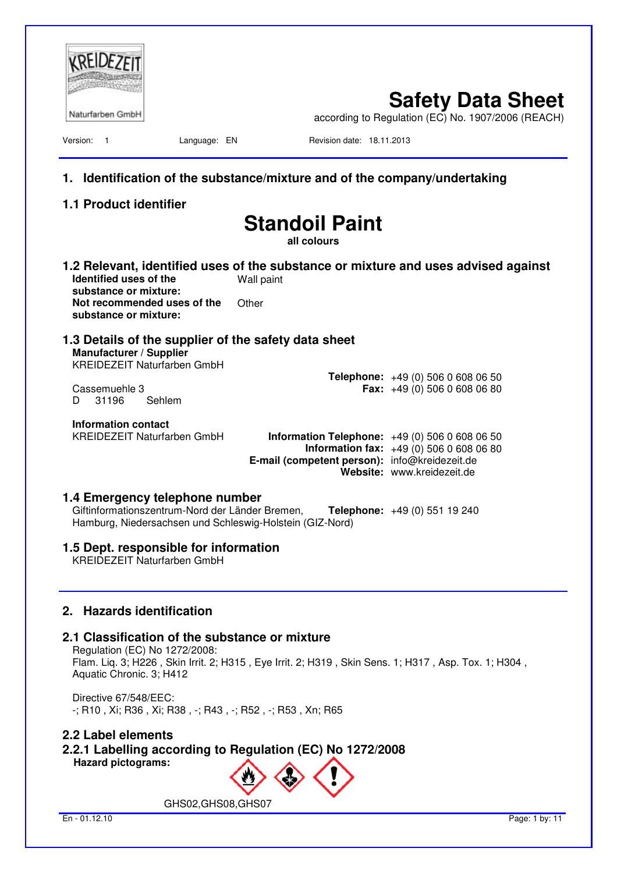| Naturfarben GmbH                                                                                                                              |                                      | <b>Safety Data Sheet</b><br>according to Regulation (EC) No. 1907/2006 (REACH)                                                                                                  |
|-----------------------------------------------------------------------------------------------------------------------------------------------|--------------------------------------|---------------------------------------------------------------------------------------------------------------------------------------------------------------------------------|
| Version:<br>$\overline{\phantom{1}}$<br>Language: EN                                                                                          |                                      | Revision date: 18.11.2013                                                                                                                                                       |
| 1.                                                                                                                                            |                                      | Identification of the substance/mixture and of the company/undertaking                                                                                                          |
| 1.1 Product identifier                                                                                                                        |                                      |                                                                                                                                                                                 |
|                                                                                                                                               | <b>Standoil Paint</b><br>all colours |                                                                                                                                                                                 |
| Identified uses of the                                                                                                                        | Wall paint                           | 1.2 Relevant, identified uses of the substance or mixture and uses advised against                                                                                              |
| substance or mixture:<br>Not recommended uses of the<br>substance or mixture:                                                                 | Other                                |                                                                                                                                                                                 |
| 1.3 Details of the supplier of the safety data sheet<br>Manufacturer / Supplier<br><b>KREIDEZEIT Naturfarben GmbH</b>                         |                                      |                                                                                                                                                                                 |
| Cassemuehle 3<br>Sehlem<br>31196<br>D                                                                                                         |                                      | <b>Telephone:</b> $+49(0)50606080650$<br><b>Fax:</b> $+49(0)$ 506 0 608 06 80                                                                                                   |
| Information contact<br><b>KREIDEZEIT Naturfarben GmbH</b>                                                                                     |                                      | <b>Information Telephone:</b> $+49(0)50606080650$<br><b>Information fax:</b> $+49(0)50606080680$<br>E-mail (competent person): info@kreidezeit.de<br>Website: www.kreidezeit.de |
| 1.4 Emergency telephone number<br>Giftinformationszentrum-Nord der Länder Bremen,<br>Hamburg, Niedersachsen und Schleswig-Holstein (GIZ-Nord) |                                      | Telephone: +49 (0) 551 19 240                                                                                                                                                   |
| 1.5 Dept. responsible for information<br><b>KREIDEZEIT Naturfarben GmbH</b>                                                                   |                                      |                                                                                                                                                                                 |
| 2. Hazards identification                                                                                                                     |                                      |                                                                                                                                                                                 |
| 2.1 Classification of the substance or mixture<br>Regulation (EC) No 1272/2008:<br>Aquatic Chronic. 3; H412                                   |                                      | Flam. Liq. 3; H226, Skin Irrit. 2; H315, Eye Irrit. 2; H319, Skin Sens. 1; H317, Asp. Tox. 1; H304,                                                                             |
| Directive 67/548/EEC:<br>-; R10 , Xi; R36 , Xi; R38 , -; R43 , -; R52 , -; R53 , Xn; R65                                                      |                                      |                                                                                                                                                                                 |
| 2.2 Label elements<br>2.2.1 Labelling according to Regulation (EC) No 1272/2008<br><b>Hazard pictograms:</b>                                  |                                      |                                                                                                                                                                                 |
| GHS02, GHS08, GHS07                                                                                                                           |                                      |                                                                                                                                                                                 |
| En - 01.12.10                                                                                                                                 |                                      | Page: 1 by: 11                                                                                                                                                                  |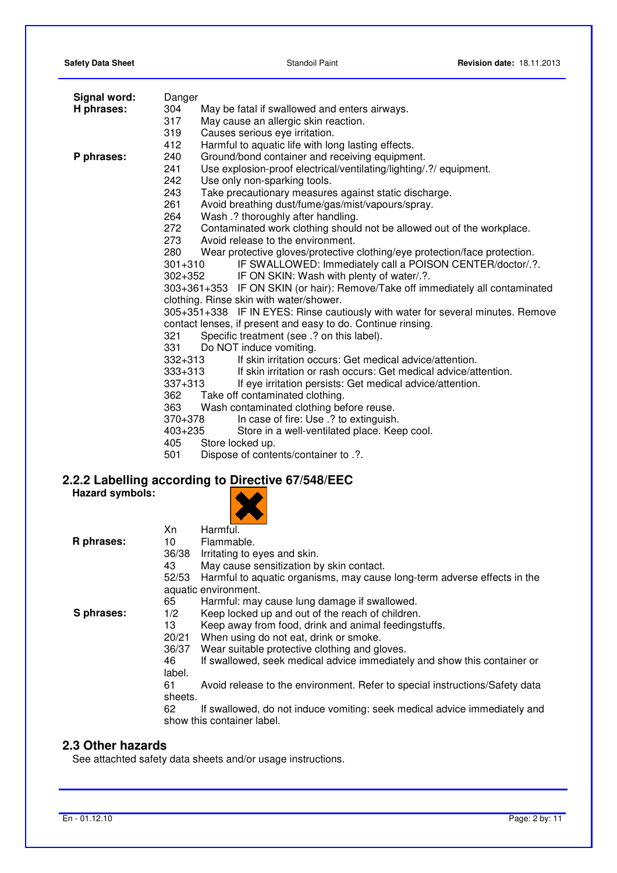| <b>Safety Data Sheet</b> |  |  |
|--------------------------|--|--|
|--------------------------|--|--|

| Signal word:           | Danger                                                                            |  |
|------------------------|-----------------------------------------------------------------------------------|--|
| H phrases:             | 304<br>May be fatal if swallowed and enters airways.                              |  |
|                        | 317<br>May cause an allergic skin reaction.                                       |  |
|                        | 319<br>Causes serious eye irritation.                                             |  |
|                        | 412<br>Harmful to aquatic life with long lasting effects.                         |  |
| P phrases:             | Ground/bond container and receiving equipment.<br>240                             |  |
|                        | 241<br>Use explosion-proof electrical/ventilating/lighting/.?/ equipment.         |  |
|                        | 242<br>Use only non-sparking tools.                                               |  |
|                        | 243<br>Take precautionary measures against static discharge.                      |  |
|                        | 261<br>Avoid breathing dust/fume/gas/mist/vapours/spray.                          |  |
|                        | 264<br>Wash .? thoroughly after handling.                                         |  |
|                        | 272<br>Contaminated work clothing should not be allowed out of the workplace.     |  |
|                        | 273<br>Avoid release to the environment.                                          |  |
|                        | 280<br>Wear protective gloves/protective clothing/eye protection/face protection. |  |
|                        | IF SWALLOWED: Immediately call a POISON CENTER/doctor/.?.<br>$301 + 310$          |  |
|                        | $302 + 352$<br>IF ON SKIN: Wash with plenty of water/.?.                          |  |
|                        | 303+361+353 IF ON SKIN (or hair): Remove/Take off immediately all contaminated    |  |
|                        | clothing. Rinse skin with water/shower.                                           |  |
|                        | 305+351+338 IF IN EYES: Rinse cautiously with water for several minutes. Remove   |  |
|                        | contact lenses, if present and easy to do. Continue rinsing.                      |  |
|                        | 321<br>Specific treatment (see .? on this label).                                 |  |
|                        | 331<br>Do NOT induce vomiting.                                                    |  |
|                        | If skin irritation occurs: Get medical advice/attention.<br>$332 + 313$           |  |
|                        | $333 + 313$<br>If skin irritation or rash occurs: Get medical advice/attention.   |  |
|                        | $337 + 313$<br>If eye irritation persists: Get medical advice/attention.          |  |
|                        | 362<br>Take off contaminated clothing.                                            |  |
|                        | 363<br>Wash contaminated clothing before reuse.                                   |  |
|                        | 370+378<br>In case of fire: Use .? to extinguish.                                 |  |
|                        | Store in a well-ventilated place. Keep cool.<br>$403 + 235$                       |  |
|                        | 405<br>Store locked up.                                                           |  |
|                        | 501<br>Dispose of contents/container to .?.                                       |  |
|                        |                                                                                   |  |
|                        | 2.2.2 Labelling according to Directive 67/548/EEC                                 |  |
| <b>Hazard symbols:</b> |                                                                                   |  |
|                        | Harmful.<br>Xn                                                                    |  |
| R phrases:             | Flammable.<br>10                                                                  |  |
|                        | 36/38<br>Irritating to eyes and skin.                                             |  |
|                        | 43<br>May cause sensitization by skin contact.                                    |  |
|                        | Harmful to aquatic organisms, may cause long-term adverse effects in the<br>52/53 |  |
|                        | اللمرم ممرمز معاريما مراع مالحات                                                  |  |

- aquatic environment.
- 65 Harmful: may cause lung damage if swallowed.

**S phrases:** 1/2 Keep locked up and out of the reach of children.

- 13 Keep away from food, drink and animal feedingstuffs.<br>20/21 When using do not eat. drink or smoke.
- When using do not eat, drink or smoke.
- 36/37 Wear suitable protective clothing and gloves.
- 46 If swallowed, seek medical advice immediately and show this container or label.
- 61 Avoid release to the environment. Refer to special instructions/Safety data sheets.<br>62
- If swallowed, do not induce vomiting: seek medical advice immediately and show this container label.

## **2.3 Other hazards**

See attachted safety data sheets and/or usage instructions.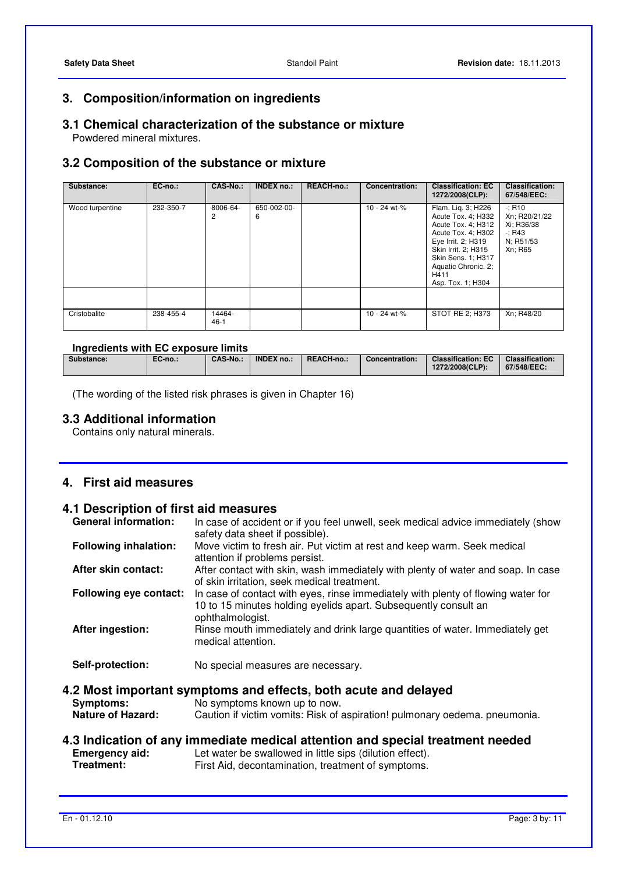## **3. Composition/information on ingredients**

# **3.1 Chemical characterization of the substance or mixture**

Powdered mineral mixtures.

## **3.2 Composition of the substance or mixture**

| Substance:      | EC-no.:   | <b>CAS-No.:</b>  | <b>INDEX no.:</b> | <b>REACH-no.:</b> | <b>Concentration:</b> | <b>Classification: EC</b><br>1272/2008(CLP):                                                                                                                                                                | <b>Classification:</b><br>67/548/EEC:                                        |
|-----------------|-----------|------------------|-------------------|-------------------|-----------------------|-------------------------------------------------------------------------------------------------------------------------------------------------------------------------------------------------------------|------------------------------------------------------------------------------|
| Wood turpentine | 232-350-7 | 8006-64-<br>2    | 650-002-00-<br>6  |                   | 10 - 24 wt-%          | Flam. Lig. 3; H226<br>Acute Tox. 4; H332<br>Acute Tox. 4; H312<br>Acute Tox. 4; H302<br>Eye Irrit. 2; H319<br>Skin Irrit. 2; H315<br>Skin Sens. 1; H317<br>Aquatic Chronic. 2;<br>H411<br>Asp. Tox. 1; H304 | $-: R10$<br>Xn; R20/21/22<br>Xi; R36/38<br>$-$ ; R43<br>N; R51/53<br>Xn; R65 |
|                 |           |                  |                   |                   |                       |                                                                                                                                                                                                             |                                                                              |
| Cristobalite    | 238-455-4 | 14464-<br>$46-1$ |                   |                   | 10 - 24 wt-%          | STOT RE 2; H373                                                                                                                                                                                             | Xn; R48/20                                                                   |

## **Ingredients with EC exposure limits**

| Substance: | EC-no.: | <b>CAS-No.:</b> | <b>INDEX no.:</b> | REACH-no.: | Concentration: | <b>Classification: EC</b><br>1272/2008(CLP): | <b>Classification:</b><br>67/548/EEC: |
|------------|---------|-----------------|-------------------|------------|----------------|----------------------------------------------|---------------------------------------|
|            |         |                 |                   |            |                |                                              |                                       |

(The wording of the listed risk phrases is given in Chapter 16)

## **3.3 Additional information**

Contains only natural minerals.

## **4. First aid measures**

## **4.1 Description of first aid measures**

| <b>General information:</b>                  | In case of accident or if you feel unwell, seek medical advice immediately (show<br>safety data sheet if possible).                                                           |
|----------------------------------------------|-------------------------------------------------------------------------------------------------------------------------------------------------------------------------------|
| <b>Following inhalation:</b>                 | Move victim to fresh air. Put victim at rest and keep warm. Seek medical<br>attention if problems persist.                                                                    |
| After skin contact:                          | After contact with skin, wash immediately with plenty of water and soap. In case<br>of skin irritation, seek medical treatment.                                               |
| <b>Following eye contact:</b>                | In case of contact with eyes, rinse immediately with plenty of flowing water for<br>10 to 15 minutes holding eyelids apart. Subsequently consult an<br>ophthalmologist.       |
| After ingestion:                             | Rinse mouth immediately and drink large quantities of water. Immediately get<br>medical attention.                                                                            |
| Self-protection:                             | No special measures are necessary.                                                                                                                                            |
| <b>Symptoms:</b><br><b>Nature of Hazard:</b> | 4.2 Most important symptoms and effects, both acute and delayed<br>No symptoms known up to now.<br>Caution if victim vomits: Risk of aspiration! pulmonary oedema. pneumonia. |

# **4.3 Indication of any immediate medical attention and special treatment needed Emergency aid:** Let water be swallowed in little sips (dilution effect).

**Emergency aid:** Let water be swallowed in little sips (dilution effect).<br> **Treatment:** First Aid, decontamination, treatment of symptoms. First Aid, decontamination, treatment of symptoms.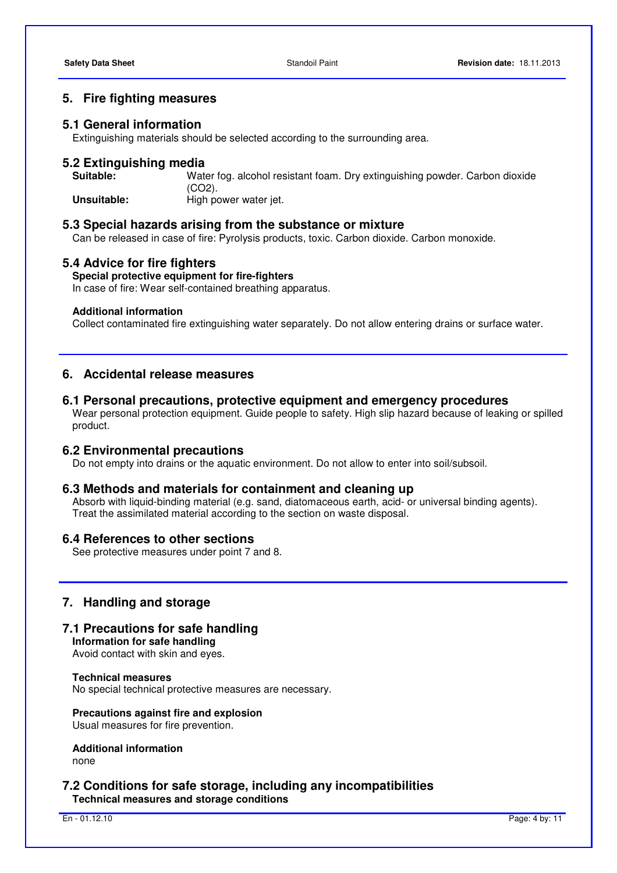## **5. Fire fighting measures**

#### **5.1 General information**

Extinguishing materials should be selected according to the surrounding area.

# **5.2 Extinguishing media**

Water fog. alcohol resistant foam. Dry extinguishing powder. Carbon dioxide (CO2). **Unsuitable: High power water jet.** 

#### **5.3 Special hazards arising from the substance or mixture**

Can be released in case of fire: Pyrolysis products, toxic. Carbon dioxide. Carbon monoxide.

#### **5.4 Advice for fire fighters**

#### **Special protective equipment for fire-fighters**

In case of fire: Wear self-contained breathing apparatus.

#### **Additional information**

Collect contaminated fire extinguishing water separately. Do not allow entering drains or surface water.

## **6. Accidental release measures**

**6.1 Personal precautions, protective equipment and emergency procedures** 

 Wear personal protection equipment. Guide people to safety. High slip hazard because of leaking or spilled product.

#### **6.2 Environmental precautions**

Do not empty into drains or the aquatic environment. Do not allow to enter into soil/subsoil.

#### **6.3 Methods and materials for containment and cleaning up**

 Absorb with liquid-binding material (e.g. sand, diatomaceous earth, acid- or universal binding agents). Treat the assimilated material according to the section on waste disposal.

#### **6.4 References to other sections**

See protective measures under point 7 and 8.

#### **7. Handling and storage**

## **7.1 Precautions for safe handling**

**Information for safe handling**  Avoid contact with skin and eyes.

**Technical measures**  No special technical protective measures are necessary.

**Precautions against fire and explosion**  Usual measures for fire prevention.

**Additional information**  none

#### **7.2 Conditions for safe storage, including any incompatibilities Technical measures and storage conditions**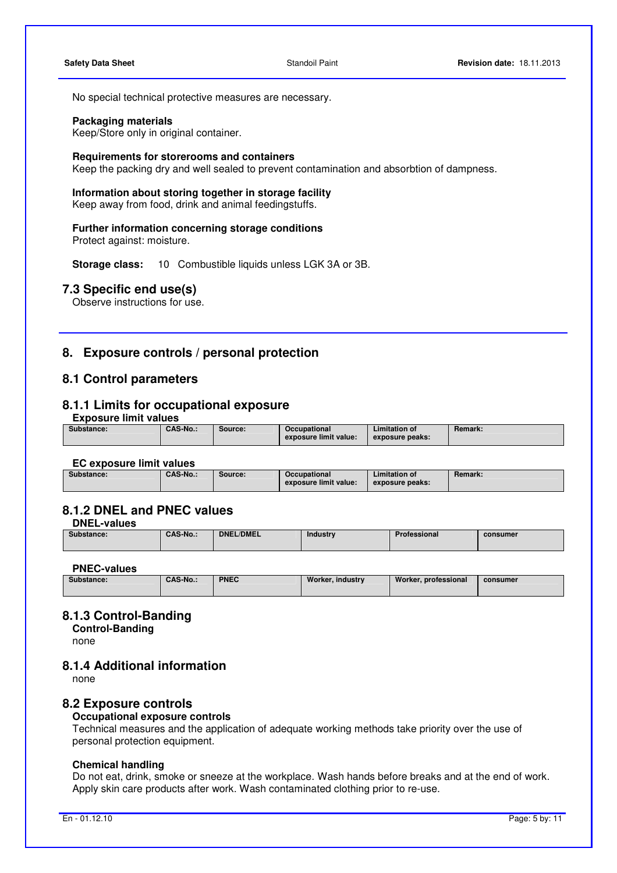No special technical protective measures are necessary.

#### **Packaging materials**

Keep/Store only in original container.

#### **Requirements for storerooms and containers**

Keep the packing dry and well sealed to prevent contamination and absorbtion of dampness.

#### **Information about storing together in storage facility**

Keep away from food, drink and animal feedingstuffs.

#### **Further information concerning storage conditions**

Protect against: moisture.

**Storage class:** 10 Combustible liquids unless LGK 3A or 3B.

## **7.3 Specific end use(s)**

Observe instructions for use.

## **8. Exposure controls / personal protection**

## **8.1 Control parameters**

## **8.1.1 Limits for occupational exposure**

**Exposure limit values** 

| Substance: | <b>CAS-No.:</b> | Source: | Occupational<br>exposure limit value: | <b>Limitation of</b><br>exposure peaks: | <b>Remark:</b> |
|------------|-----------------|---------|---------------------------------------|-----------------------------------------|----------------|
|            |                 |         |                                       |                                         |                |

#### **EC exposure limit values**

| Substance: | <b>CAS-No.:</b> | Source: | Occupational<br>exposure limit value: | <b>Limitation of</b><br>exposure peaks: | <b>Remark:</b> |
|------------|-----------------|---------|---------------------------------------|-----------------------------------------|----------------|

## **8.1.2 DNEL and PNEC values**

**DNEL-values** 

| Sul<br>ostance: | <b>CAS-No.:</b> | <b>DNEL/DMEL</b><br>----- | Industry | Professional | consumer |
|-----------------|-----------------|---------------------------|----------|--------------|----------|
|                 |                 |                           |          |              |          |

## **PNEC-values**

| Substance: | CAS-No.: | <b>PNEC</b> | Worker, industry | Worker, professional | consumer |
|------------|----------|-------------|------------------|----------------------|----------|
|            |          |             |                  |                      |          |

## **8.1.3 Control-Banding**

**Control-Banding**  none

## **8.1.4 Additional information**

none

#### **8.2 Exposure controls**

#### **Occupational exposure controls**

 Technical measures and the application of adequate working methods take priority over the use of personal protection equipment.

#### **Chemical handling**

 Do not eat, drink, smoke or sneeze at the workplace. Wash hands before breaks and at the end of work. Apply skin care products after work. Wash contaminated clothing prior to re-use.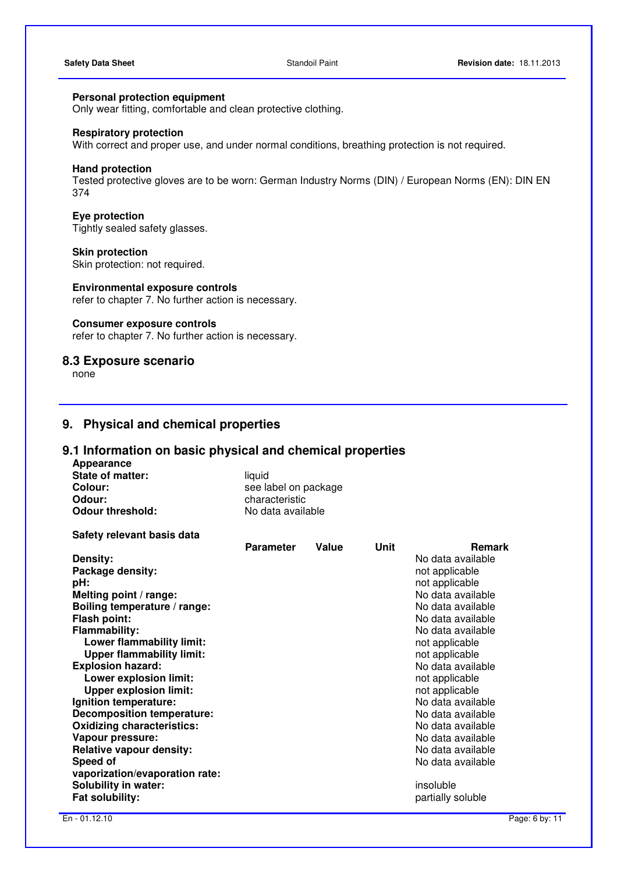## **Personal protection equipment**

Only wear fitting, comfortable and clean protective clothing.

#### **Respiratory protection**

With correct and proper use, and under normal conditions, breathing protection is not required.

#### **Hand protection**

 Tested protective gloves are to be worn: German Industry Norms (DIN) / European Norms (EN): DIN EN 374

#### **Eye protection**

Tightly sealed safety glasses.

#### **Skin protection**

Skin protection: not required.

## **Environmental exposure controls**

refer to chapter 7. No further action is necessary.

#### **Consumer exposure controls**

refer to chapter 7. No further action is necessary.

#### **8.3 Exposure scenario**

none

## **9. Physical and chemical properties**

## **9.1 Information on basic physical and chemical properties**

**Appearance State of matter:** liquid<br> **Colour:** see la **Colour:** See label on package<br> **Colour:** Characteristic characteristic<br>No data available **Odour threshold:** 

| Safety relevant basis data        |                  |       |             |                   |
|-----------------------------------|------------------|-------|-------------|-------------------|
|                                   | <b>Parameter</b> | Value | <b>Unit</b> | <b>Remark</b>     |
| Density:                          |                  |       |             | No data available |
| Package density:                  |                  |       |             | not applicable    |
| pH:                               |                  |       |             | not applicable    |
| Melting point / range:            |                  |       |             | No data available |
| Boiling temperature / range:      |                  |       |             | No data available |
| Flash point:                      |                  |       |             | No data available |
| <b>Flammability:</b>              |                  |       |             | No data available |
| Lower flammability limit:         |                  |       |             | not applicable    |
| <b>Upper flammability limit:</b>  |                  |       |             | not applicable    |
| <b>Explosion hazard:</b>          |                  |       |             | No data available |
| Lower explosion limit:            |                  |       |             | not applicable    |
| <b>Upper explosion limit:</b>     |                  |       |             | not applicable    |
| Ignition temperature:             |                  |       |             | No data available |
| <b>Decomposition temperature:</b> |                  |       |             | No data available |
| <b>Oxidizing characteristics:</b> |                  |       |             | No data available |
| Vapour pressure:                  |                  |       |             | No data available |
| <b>Relative vapour density:</b>   |                  |       |             | No data available |
| Speed of                          |                  |       |             | No data available |
| vaporization/evaporation rate:    |                  |       |             |                   |
| <b>Solubility in water:</b>       |                  |       |             | insoluble         |
| Fat solubility:                   |                  |       |             | partially soluble |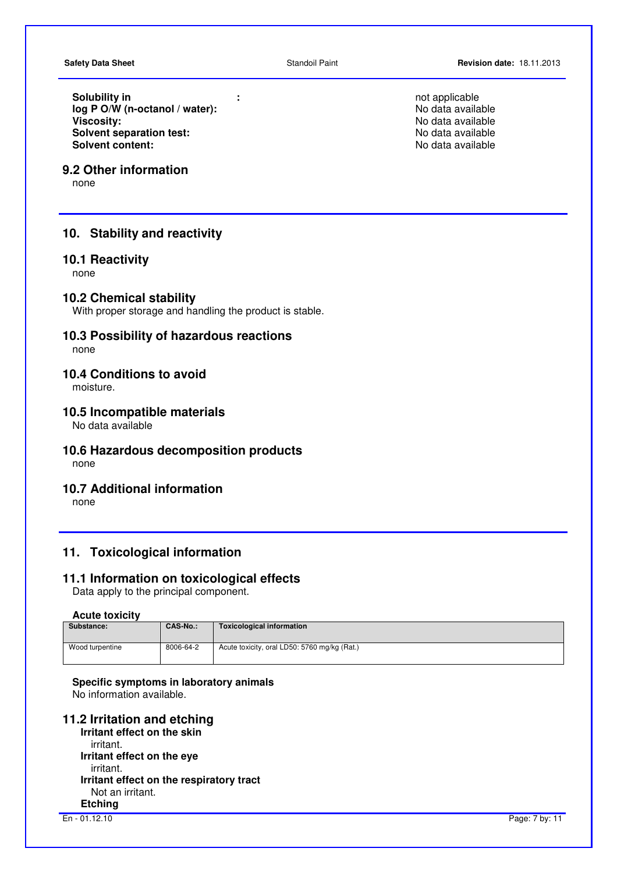**Solubility in**<br> **Iog P O/W (n-octanol / water):**<br> **Iog P O/W (n-octanol / water):**<br> **Iog P O/W (n-octanol / water):** log P O/W (n-octanol / water):<br>Viscositv: **Solvent separation test:** <br> **Solvent content:** <br> **Solvent content:** <br> **No data available** 

## **9.2 Other information**

none

## **10. Stability and reactivity**

## **10.1 Reactivity**

none

### **10.2 Chemical stability**

With proper storage and handling the product is stable.

## **10.3 Possibility of hazardous reactions**

none

## **10.4 Conditions to avoid**

moisture.

#### **10.5 Incompatible materials**

No data available

## **10.6 Hazardous decomposition products**

none

## **10.7 Additional information**

none

## **11. Toxicological information**

#### **11.1 Information on toxicological effects**

Data apply to the principal component.

#### **Acute toxicity**

| Substance:      | <b>CAS-No.:</b> | Toxicological information                    |
|-----------------|-----------------|----------------------------------------------|
| Wood turpentine | 8006-64-2       | Acute toxicity, oral LD50: 5760 mg/kg (Rat.) |

#### **Specific symptoms in laboratory animals**  No information available.

## **11.2 Irritation and etching**

**Irritant effect on the skin**  irritant. **Irritant effect on the eye** irritant. **Irritant effect on the respiratory tract** Not an irritant. **Etching**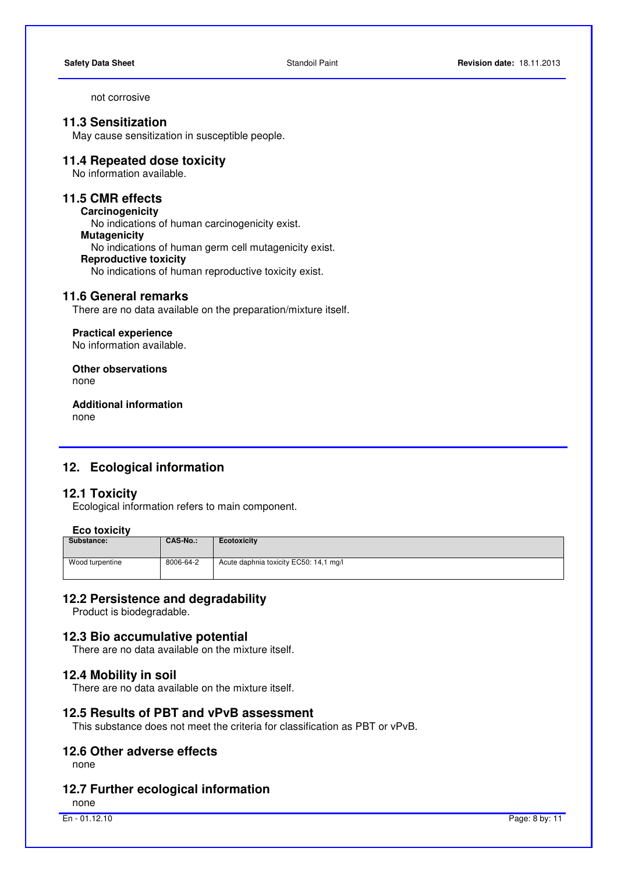not corrosive

## **11.3 Sensitization**

May cause sensitization in susceptible people.

## **11.4 Repeated dose toxicity**

No information available.

## **11.5 CMR effects**

**Carcinogenicity** 

No indications of human carcinogenicity exist.

#### **Mutagenicity**

No indications of human germ cell mutagenicity exist.

#### **Reproductive toxicity**

No indications of human reproductive toxicity exist.

#### **11.6 General remarks**

There are no data available on the preparation/mixture itself.

#### **Practical experience**

No information available.

**Other observations** none

**Additional information**  none

## **12. Ecological information**

## **12.1 Toxicity**

Ecological information refers to main component.

## **Eco toxicity**

| Substance:      | <b>CAS-No.:</b> | Ecotoxicity                            |
|-----------------|-----------------|----------------------------------------|
| Wood turpentine | 8006-64-2       | Acute daphnia toxicity EC50: 14,1 mg/l |

#### **12.2 Persistence and degradability**

Product is biodegradable.

#### **12.3 Bio accumulative potential**

There are no data available on the mixture itself.

#### **12.4 Mobility in soil**

There are no data available on the mixture itself.

## **12.5 Results of PBT and vPvB assessment**

This substance does not meet the criteria for classification as PBT or vPvB.

#### **12.6 Other adverse effects**

none

## **12.7 Further ecological information**

none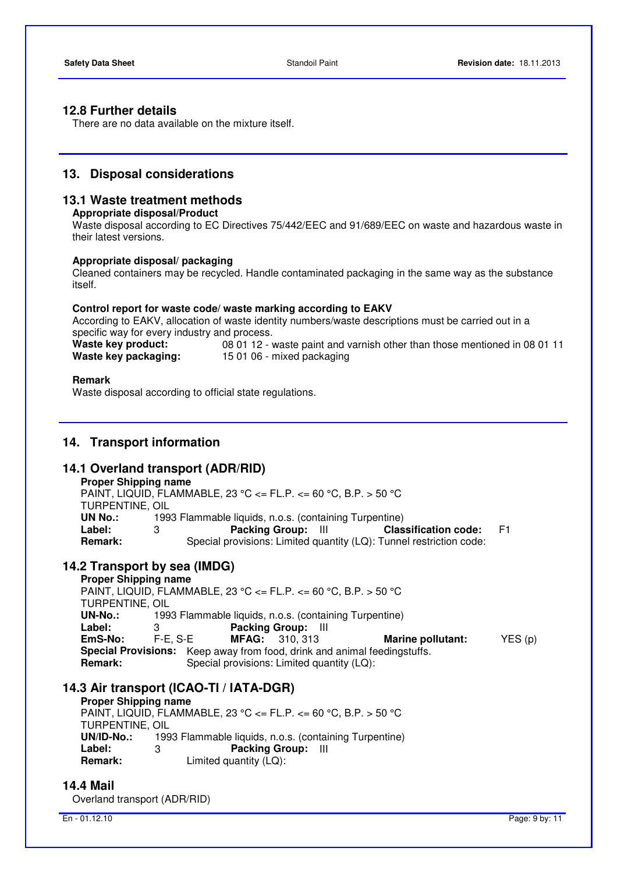## **12.8 Further details**

There are no data available on the mixture itself.

## **13. Disposal considerations**

## **13.1 Waste treatment methods**

#### **Appropriate disposal/Product**

 Waste disposal according to EC Directives 75/442/EEC and 91/689/EEC on waste and hazardous waste in their latest versions.

#### **Appropriate disposal/ packaging**

 Cleaned containers may be recycled. Handle contaminated packaging in the same way as the substance itself.

#### **Control report for waste code/ waste marking according to EAKV**

 According to EAKV, allocation of waste identity numbers/waste descriptions must be carried out in a specific way for every industry and process.

**Waste key product:** 08 01 12 - waste paint and varnish other than those mentioned in 08 01 11 **Waste key packaging:** 15 01 06 - mixed packaging

#### **Remark**

Waste disposal according to official state regulations.

## **14. Transport information**

#### **14.1 Overland transport (ADR/RID)**

| <b>Proper Shipping name</b>                                     |                                                                     |  |  |  |
|-----------------------------------------------------------------|---------------------------------------------------------------------|--|--|--|
| PAINT, LIQUID, FLAMMABLE, 23 °C <= FL.P. <= 60 °C, B.P. > 50 °C |                                                                     |  |  |  |
| TURPENTINE, OIL                                                 |                                                                     |  |  |  |
| UN No.:                                                         | 1993 Flammable liquids, n.o.s. (containing Turpentine)              |  |  |  |
| Label:                                                          | Packing Group: III<br><b>Classification code:</b><br>F1<br>3        |  |  |  |
| <b>Remark:</b>                                                  | Special provisions: Limited quantity (LQ): Tunnel restriction code: |  |  |  |

## **14.2 Transport by sea (IMDG)**

**Proper Shipping name**  PAINT, LIQUID, FLAMMABLE, 23 °C <= FL.P. <= 60 °C, B.P. > 50 °C TURPENTINE, OIL<br>UN-No.: 199 **UN-No.:** 1993 Flammable liquids, n.o.s. (containing Turpentine) **Label:** 3 **Packing Group:** III **EmS-No:** F-E, S-E **MFAG:** 310, 313 **Marine pollutant:** YES (p) **Special Provisions:** Keep away from food, drink and animal feedingstuffs. **Remark:** Special provisions: Limited quantity (LQ):

## **14.3 Air transport (ICAO-TI / IATA-DGR)**

#### **Proper Shipping name**

PAINT, LIQUID, FLAMMABLE, 23 °C <= FL.P. <= 60 °C, B.P. > 50 °C TURPENTINE, OIL<br>UN/ID-No.: 199 1993 Flammable liquids, n.o.s. (containing Turpentine) **Label:** 3 **Packing Group:** III Limited quantity (LQ):

## **14.4 Mail**

Overland transport (ADR/RID)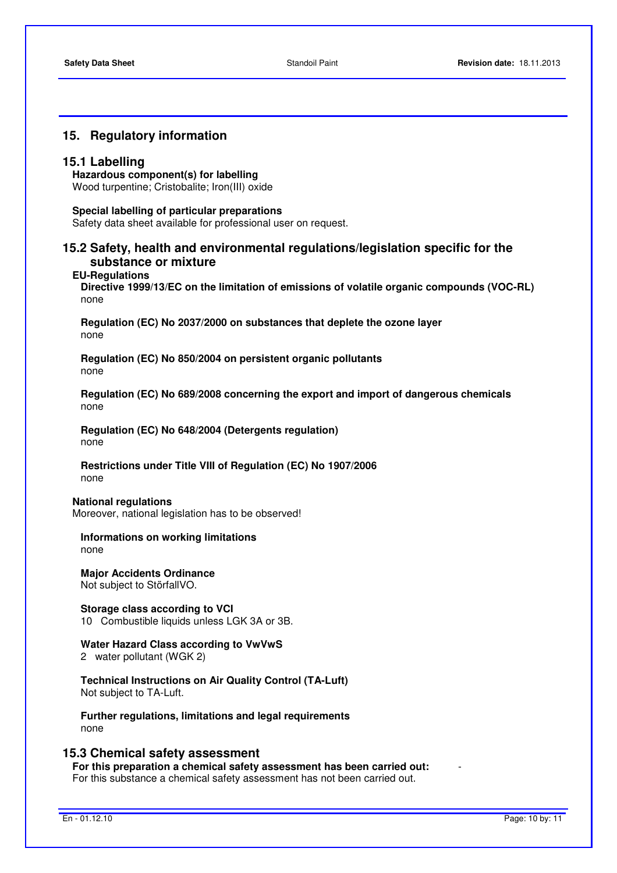## **15. Regulatory information**

#### **15.1 Labelling**

**Hazardous component(s) for labelling**  Wood turpentine; Cristobalite; Iron(III) oxide

#### **Special labelling of particular preparations**

Safety data sheet available for professional user on request.

## **15.2 Safety, health and environmental regulations/legislation specific for the substance or mixture**

#### **EU-Regulations**

**Directive 1999/13/EC on the limitation of emissions of volatile organic compounds (VOC-RL)**  none

**Regulation (EC) No 2037/2000 on substances that deplete the ozone layer**  none

**Regulation (EC) No 850/2004 on persistent organic pollutants**  none

**Regulation (EC) No 689/2008 concerning the export and import of dangerous chemicals**  none

**Regulation (EC) No 648/2004 (Detergents regulation)** none

**Restrictions under Title VIII of Regulation (EC) No 1907/2006**  none

#### **National regulations**

Moreover, national legislation has to be observed!

**Informations on working limitations**  none

**Major Accidents Ordinance**  Not subject to StörfallVO.

**Storage class according to VCI**  10 Combustible liquids unless LGK 3A or 3B.

# **Water Hazard Class according to VwVwS**

2 water pollutant (WGK 2)

**Technical Instructions on Air Quality Control (TA-Luft)**  Not subject to TA-Luft.

**Further regulations, limitations and legal requirements**  none

## **15.3 Chemical safety assessment**

**For this preparation a chemical safety assessment has been carried out:** - For this substance a chemical safety assessment has not been carried out.